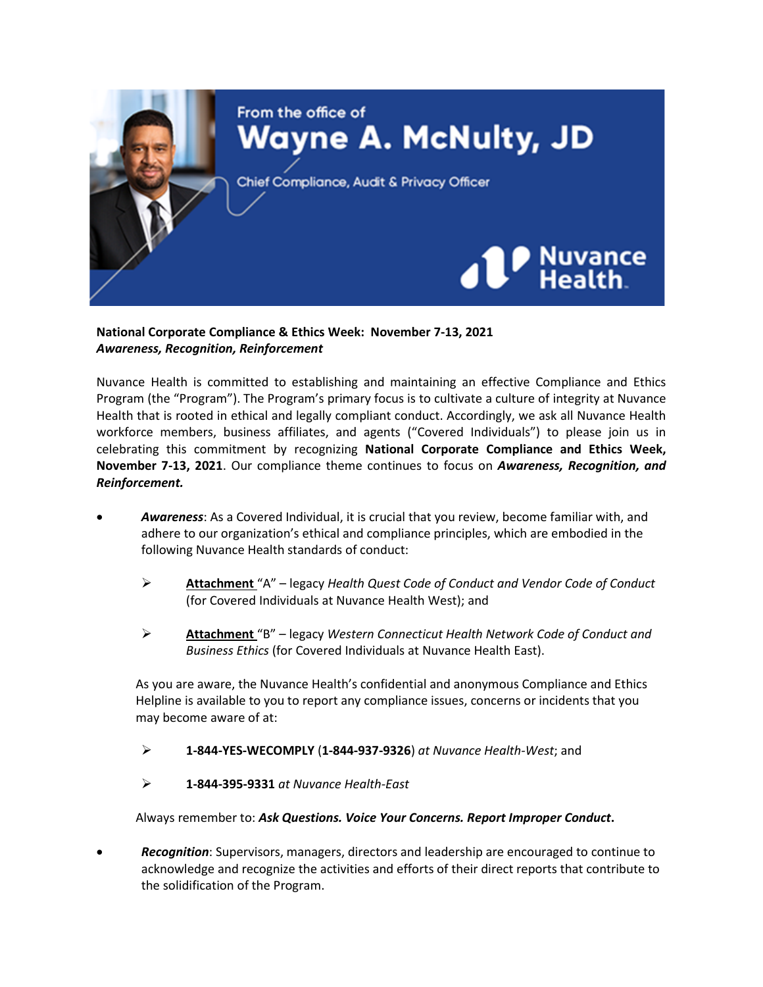

**National Corporate Compliance & Ethics Week: November 7-13, 2021** *Awareness, Recognition, Reinforcement*

Nuvance Health is committed to establishing and maintaining an effective Compliance and Ethics Program (the "Program"). The Program's primary focus is to cultivate a culture of integrity at Nuvance Health that is rooted in ethical and legally compliant conduct. Accordingly, we ask all Nuvance Health workforce members, business affiliates, and agents ("Covered Individuals") to please join us in celebrating this commitment by recognizing **National Corporate Compliance and Ethics Week, November 7-13, 2021**. Our compliance theme continues to focus on *Awareness, Recognition, and Reinforcement.*

- *Awareness*: As a Covered Individual, it is crucial that you review, become familiar with, and adhere to our organization's ethical and compliance principles, which are embodied in the following Nuvance Health standards of conduct:
	- **Attachment** "A" legacy *Health Quest Code of Conduct and Vendor Code of Conduct* (for Covered Individuals at Nuvance Health West); and
	- **Attachment** "B" legacy *Western Connecticut Health Network Code of Conduct and Business Ethics* (for Covered Individuals at Nuvance Health East).

As you are aware, the Nuvance Health's confidential and anonymous Compliance and Ethics Helpline is available to you to report any compliance issues, concerns or incidents that you may become aware of at:

**1-844-YES-WECOMPLY** (**1-844-937-9326**) *at Nuvance Health-West*; and

**1-844-395-9331** *at Nuvance Health-East*

Always remember to: *Ask Questions. Voice Your Concerns. Report Improper Conduct***.**

 *Recognition*: Supervisors, managers, directors and leadership are encouraged to continue to acknowledge and recognize the activities and efforts of their direct reports that contribute to the solidification of the Program.